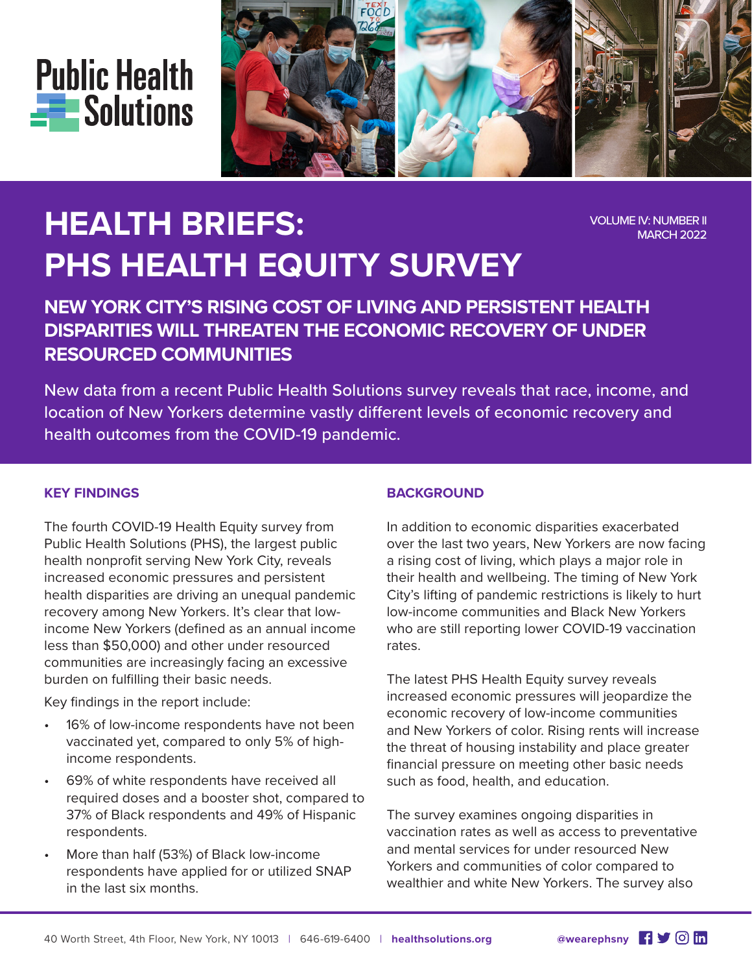



# **HEALTH BRIEFS: PHS HEALTH EQUITY SURVEY**

VOLUME IV: NUMBER II MARCH 2022

# **NEW YORK CITY'S RISING COST OF LIVING AND PERSISTENT HEALTH DISPARITIES WILL THREATEN THE ECONOMIC RECOVERY OF UNDER RESOURCED COMMUNITIES**

New data from a recent Public Health Solutions survey reveals that race, income, and location of New Yorkers determine vastly different levels of economic recovery and health outcomes from the COVID-19 pandemic.

#### **KEY FINDINGS**

The fourth COVID-19 Health Equity survey from Public Health Solutions (PHS), the largest public health nonprofit serving New York City, reveals increased economic pressures and persistent health disparities are driving an unequal pandemic recovery among New Yorkers. It's clear that lowincome New Yorkers (defined as an annual income less than \$50,000) and other under resourced communities are increasingly facing an excessive burden on fulfilling their basic needs.

Key findings in the report include:

- 16% of low-income respondents have not been vaccinated yet, compared to only 5% of highincome respondents.
- 69% of white respondents have received all required doses and a booster shot, compared to 37% of Black respondents and 49% of Hispanic respondents.
- More than half (53%) of Black low-income respondents have applied for or utilized SNAP in the last six months.

# **BACKGROUND**

In addition to economic disparities exacerbated over the last two years, New Yorkers are now facing a rising cost of living, which plays a major role in their health and wellbeing. The timing of New York City's lifting of pandemic restrictions is likely to hurt low-income communities and Black New Yorkers who are still reporting lower COVID-19 vaccination rates.

The latest PHS Health Equity survey reveals increased economic pressures will jeopardize the economic recovery of low-income communities and New Yorkers of color. Rising rents will increase the threat of housing instability and place greater financial pressure on meeting other basic needs such as food, health, and education.

The survey examines ongoing disparities in vaccination rates as well as access to preventative and mental services for under resourced New Yorkers and communities of color compared to wealthier and white New Yorkers. The survey also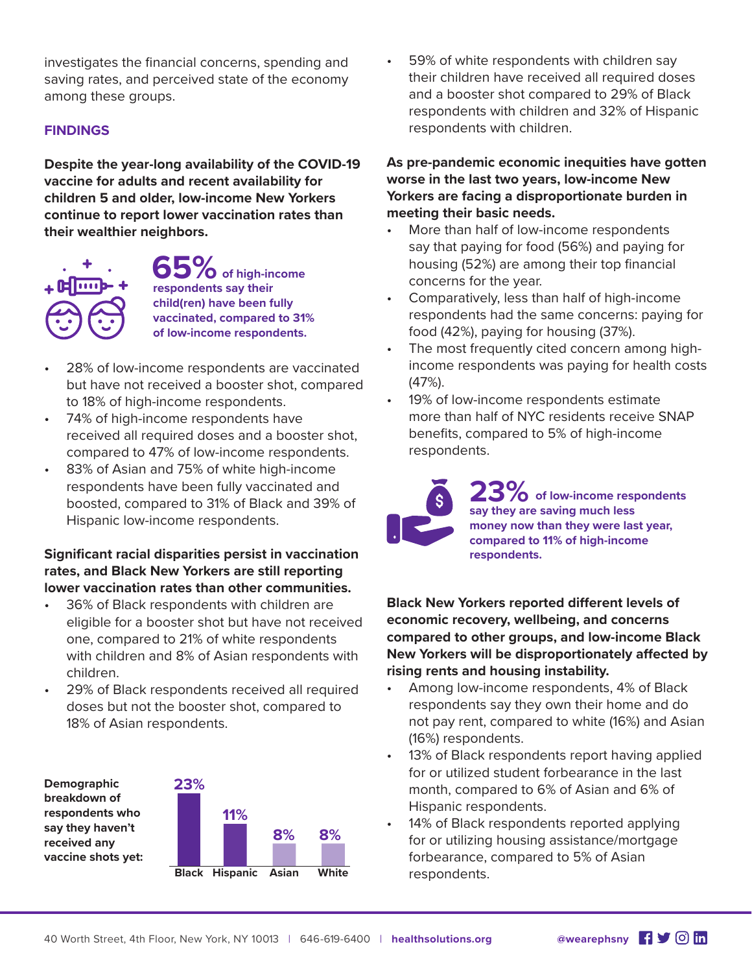investigates the financial concerns, spending and saving rates, and perceived state of the economy among these groups.

#### **FINDINGS**

**Despite the year-long availability of the COVID-19 vaccine for adults and recent availability for children 5 and older, low-income New Yorkers continue to report lower vaccination rates than their wealthier neighbors.**



**65 of high-income respondents say their child(ren) have been fully vaccinated, compared to 31% of low-income respondents.**

- 28% of low-income respondents are vaccinated but have not received a booster shot, compared to 18% of high-income respondents.
- 74% of high-income respondents have received all required doses and a booster shot, compared to 47% of low-income respondents.
- 83% of Asian and 75% of white high-income respondents have been fully vaccinated and boosted, compared to 31% of Black and 39% of Hispanic low-income respondents.

#### **Significant racial disparities persist in vaccination rates, and Black New Yorkers are still reporting lower vaccination rates than other communities.**

- 36% of Black respondents with children are eligible for a booster shot but have not received one, compared to 21% of white respondents with children and 8% of Asian respondents with children.
- 29% of Black respondents received all required doses but not the booster shot, compared to 18% of Asian respondents.



59% of white respondents with children say their children have received all required doses and a booster shot compared to 29% of Black respondents with children and 32% of Hispanic respondents with children.

**As pre-pandemic economic inequities have gotten worse in the last two years, low-income New Yorkers are facing a disproportionate burden in meeting their basic needs.**

- More than half of low-income respondents say that paying for food (56%) and paying for housing (52%) are among their top financial concerns for the year.
- Comparatively, less than half of high-income respondents had the same concerns: paying for food (42%), paying for housing (37%).
- The most frequently cited concern among highincome respondents was paying for health costs (47%).
- 19% of low-income respondents estimate more than half of NYC residents receive SNAP benefits, compared to 5% of high-income respondents.



23% of low-income respondents **say they are saving much less money now than they were last year, compared to 11% of high-income respondents.**

**Black New Yorkers reported different levels of economic recovery, wellbeing, and concerns compared to other groups, and low-income Black New Yorkers will be disproportionately affected by rising rents and housing instability.**

- Among low-income respondents, 4% of Black respondents say they own their home and do not pay rent, compared to white (16%) and Asian (16%) respondents.
- 13% of Black respondents report having applied for or utilized student forbearance in the last month, compared to 6% of Asian and 6% of Hispanic respondents.
- 14% of Black respondents reported applying for or utilizing housing assistance/mortgage forbearance, compared to 5% of Asian respondents.